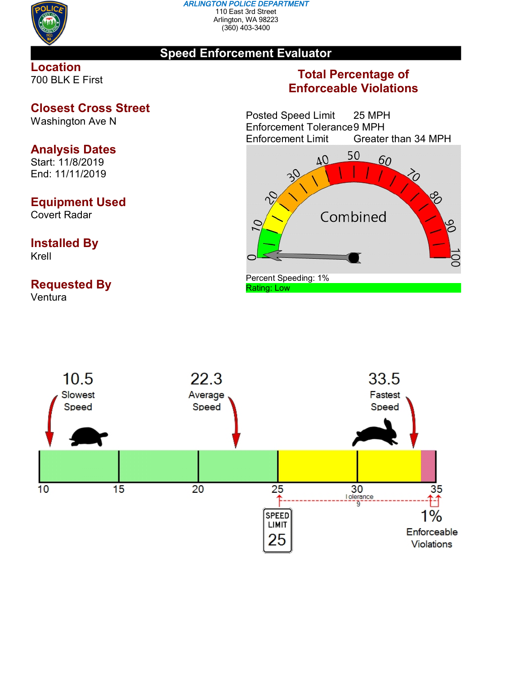

#### *ARLINGTON POLICE DEPARTMENT* 110 East 3rd Street Arlington, WA 98223 (360) 403-3400

## **Speed Enforcement Evaluator**

### **Location** 700 BLK E First

## **Closest Cross Street**

Washington Ave N

# **Analysis Dates**

Start: 11/8/2019 End: 11/11/2019

## **Equipment Used**

Covert Radar

### **Installed By** Krell

# **Requested By**

Ventura

# **Total Percentage of Enforceable Violations**

Posted Speed Limit 25 MPH Enforcement Tolerance 9 MPH<br>Enforcement Limit Greater Greater than 34 MPH